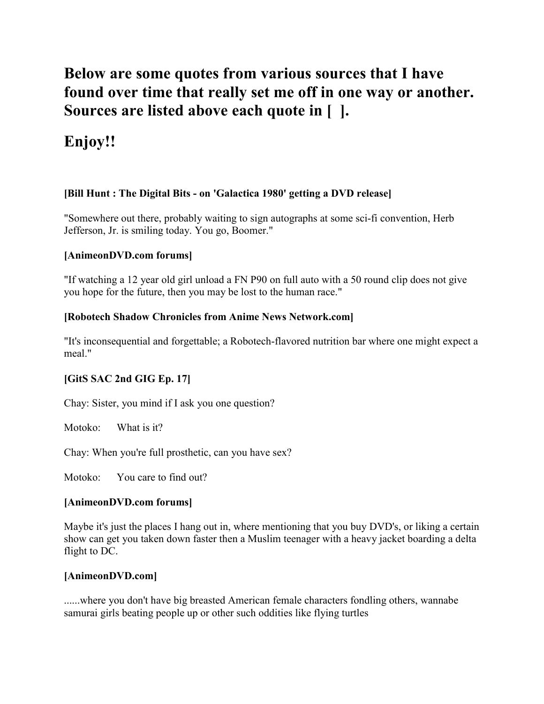# **Below are some quotes from various sources that I have found over time that really set me off in one way or another. Sources are listed above each quote in [ ].**

# **Enjoy!!**

# **[Bill Hunt : The Digital Bits - on 'Galactica 1980' getting a DVD release]**

"Somewhere out there, probably waiting to sign autographs at some sci-fi convention, Herb Jefferson, Jr. is smiling today. You go, Boomer."

### **[AnimeonDVD.com forums]**

"If watching a 12 year old girl unload a FN P90 on full auto with a 50 round clip does not give you hope for the future, then you may be lost to the human race."

# **[Robotech Shadow Chronicles from Anime News Network.com]**

"It's inconsequential and forgettable; a Robotech-flavored nutrition bar where one might expect a meal."

# **[GitS SAC 2nd GIG Ep. 17]**

Chay: Sister, you mind if I ask you one question?

Motoko: What is it?

Chay: When you're full prosthetic, can you have sex?

Motoko: You care to find out?

### **[AnimeonDVD.com forums]**

Maybe it's just the places I hang out in, where mentioning that you buy DVD's, or liking a certain show can get you taken down faster then a Muslim teenager with a heavy jacket boarding a delta flight to DC.

### **[AnimeonDVD.com]**

......where you don't have big breasted American female characters fondling others, wannabe samurai girls beating people up or other such oddities like flying turtles